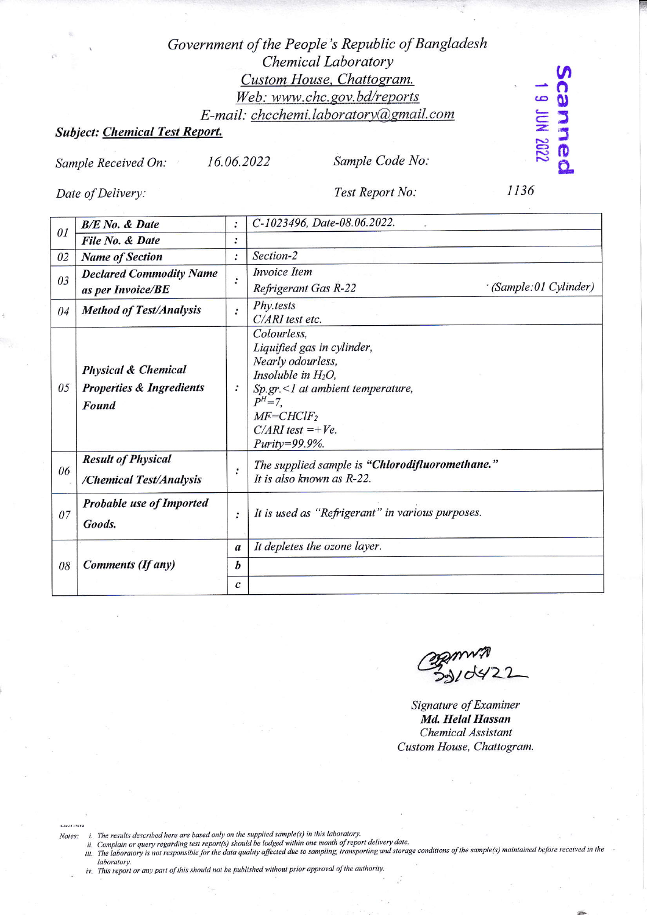## Government of the People's Republic of Bangladesh Chemical Laboratory Custom House, Chattogram. Web: www.chc.gov.bd/reports E-mail: chcchemi.laboratory@gmail.com

## **Subject: Chemical Test Report.**

16.06.2022

Sample Received On:

Sample Code No:

Date of Delivery:

Test Report No:

1136

canneo

**2202 NOL 6** 

| 01 | <b>B/E</b> No. & Date                                                          |                  | C-1023496, Date-08.06.2022.                                                                                                                                                                                       |
|----|--------------------------------------------------------------------------------|------------------|-------------------------------------------------------------------------------------------------------------------------------------------------------------------------------------------------------------------|
|    | File No. & Date                                                                | $\ddot{\cdot}$   |                                                                                                                                                                                                                   |
| 02 | <b>Name of Section</b>                                                         | $\ddot{\cdot}$   | Section-2                                                                                                                                                                                                         |
| 03 | <b>Declared Commodity Name</b><br>as per Invoice/BE                            | $\ddot{\cdot}$   | <b>Invoice</b> Item<br>(Sample:01 Cylinder)<br>Refrigerant Gas R-22                                                                                                                                               |
| 04 | <b>Method of Test/Analysis</b>                                                 | $\cdot$          | Phy.tests<br>C/ARI test etc.                                                                                                                                                                                      |
| 05 | <b>Physical &amp; Chemical</b><br><b>Properties &amp; Ingredients</b><br>Found |                  | Colourless,<br>Liquified gas in cylinder,<br>Nearly odourless,<br>Insoluble in $H_2O$ ,<br>$Sp.gr. < 1$ at ambient temperature,<br>$P^{H} = 7$ .<br>$MF=CHClF_2$<br>$C/ARI$ test =+ $Ve$ .<br>$Purity = 99.9\%$ . |
| 06 | <b>Result of Physical</b><br>/Chemical Test/Analysis                           | $\ddot{\cdot}$   | The supplied sample is "Chlorodifluoromethane."<br>It is also known as R-22.                                                                                                                                      |
| 07 | <b>Probable use of Imported</b><br>Goods.                                      | $\ddot{\cdot}$   | It is used as "Refrigerant" in various purposes.                                                                                                                                                                  |
| 08 | <b>Comments (If any)</b>                                                       | $\boldsymbol{a}$ | It depletes the ozone layer.                                                                                                                                                                                      |
|    |                                                                                | b                |                                                                                                                                                                                                                   |
|    |                                                                                | C                |                                                                                                                                                                                                                   |

Signature of Examiner Md. Helal Hassan Chemical Assistant Custom House, Chattogram.

19-Jun-22 3:56 PM Notes:

- 
- "<br>i. The results described here are based only on the supplied sample(s) in this laboratory.<br>ii. Complain or query regarding test report(s) should be lodged within one month of report delivery date.<br>iii. The laboratory is laboratory.
- iv. This report or any part of this should not be published without prior approval of the authority.